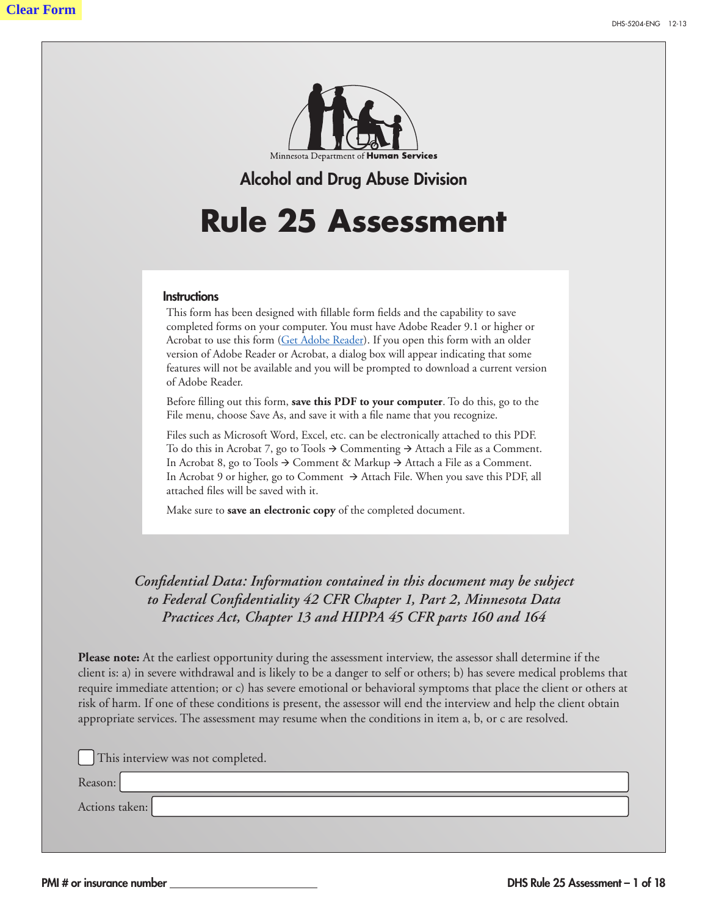

### Alcohol and Drug Abuse Division

# **Rule 25 Assessment**

#### **Instructions**

This form has been designed with fillable form fields and the capability to save completed forms on your computer. You must have Adobe Reader 9.1 or higher or Acrobat to use this form ([Get Adobe Reader\)](http://get.adobe.com/reader/). If you open this form with an older version of Adobe Reader or Acrobat, a dialog box will appear indicating that some features will not be available and you will be prompted to download a current version of Adobe Reader.

Before filling out this form, **save this PDF to your computer**. To do this, go to the File menu, choose Save As, and save it with a file name that you recognize. **email a request to** DHS.CCDTF@state.mn.us**.**

Files such as Microsoft Word, Excel, etc. can be electronically attached to this PDF. To do this in Acrobat 7, go to Tools  $\rightarrow$  Commenting  $\rightarrow$  Attach a File as a Comment. In Acrobat 8, go to Tools  $\rightarrow$  Comment & Markup  $\rightarrow$  Attach a File as a Comment. In Acrobat 9 or higher, go to Comment  $\rightarrow$  Attach File. When you save this PDF, all attached files will be saved with it.

Make sure to **save an electronic copy** of the completed document.

### *Confidential Data: Information contained in this document may be subject to Federal Confidentiality 42 CFR Chapter 1, Part 2, Minnesota Data Practices Act, Chapter 13 and HIPPA 45 CFR parts 160 and 164*

**Please note:** At the earliest opportunity during the assessment interview, the assessor shall determine if the client is: a) in severe withdrawal and is likely to be a danger to self or others; b) has severe medical problems that require immediate attention; or c) has severe emotional or behavioral symptoms that place the client or others at risk of harm. If one of these conditions is present, the assessor will end the interview and help the client obtain appropriate services. The assessment may resume when the conditions in item a, b, or c are resolved.

This interview was not completed.

Reason:

Actions taken: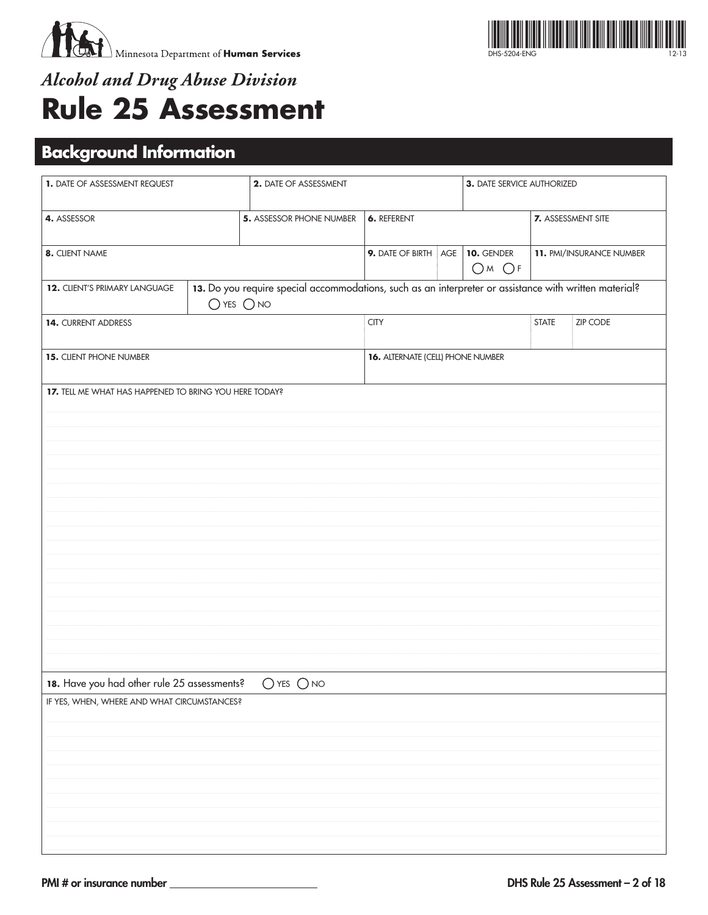



# **Alcohol and Drug Abuse Division Rule 25 Assessment**

# **Background Information**

| 1. DATE OF ASSESSMENT REQUEST                          |                | 2. DATE OF ASSESSMENT                                                                                  |                                   | 3. DATE SERVICE AUTHORIZED |                          |                           |
|--------------------------------------------------------|----------------|--------------------------------------------------------------------------------------------------------|-----------------------------------|----------------------------|--------------------------|---------------------------|
| 4. ASSESSOR                                            |                | <b>5. ASSESSOR PHONE NUMBER</b>                                                                        | <b>6. REFERENT</b>                |                            |                          | <b>7.</b> ASSESSMENT SITE |
| 8. CLIENT NAME                                         |                |                                                                                                        | 9. DATE OF BIRTH AGE              | <b>10. GENDER</b><br>OMOF  | 11. PMI/INSURANCE NUMBER |                           |
| 12. CLIENT'S PRIMARY LANGUAGE                          | $O$ YES $O$ NO | 13. Do you require special accommodations, such as an interpreter or assistance with written material? |                                   |                            |                          |                           |
| 14. CURRENT ADDRESS                                    |                |                                                                                                        | <b>CITY</b>                       |                            | <b>STATE</b>             | <b>ZIP CODE</b>           |
| 15. CLIENT PHONE NUMBER                                |                |                                                                                                        | 16. ALTERNATE (CELL) PHONE NUMBER |                            |                          |                           |
| 17. TELL ME WHAT HAS HAPPENED TO BRING YOU HERE TODAY? |                |                                                                                                        |                                   |                            |                          |                           |
|                                                        |                |                                                                                                        |                                   |                            |                          |                           |
|                                                        |                |                                                                                                        |                                   |                            |                          |                           |
|                                                        |                |                                                                                                        |                                   |                            |                          |                           |
|                                                        |                |                                                                                                        |                                   |                            |                          |                           |
|                                                        |                |                                                                                                        |                                   |                            |                          |                           |
|                                                        |                |                                                                                                        |                                   |                            |                          |                           |
|                                                        |                |                                                                                                        |                                   |                            |                          |                           |
|                                                        |                |                                                                                                        |                                   |                            |                          |                           |
|                                                        |                |                                                                                                        |                                   |                            |                          |                           |
|                                                        |                |                                                                                                        |                                   |                            |                          |                           |
|                                                        |                |                                                                                                        |                                   |                            |                          |                           |
| 18. Have you had other rule 25 assessments?            |                | $O$ yes $O$ no                                                                                         |                                   |                            |                          |                           |
| IF YES, WHEN, WHERE AND WHAT CIRCUMSTANCES?            |                |                                                                                                        |                                   |                            |                          |                           |
|                                                        |                |                                                                                                        |                                   |                            |                          |                           |
|                                                        |                |                                                                                                        |                                   |                            |                          |                           |
|                                                        |                |                                                                                                        |                                   |                            |                          |                           |
|                                                        |                |                                                                                                        |                                   |                            |                          |                           |
|                                                        |                |                                                                                                        |                                   |                            |                          |                           |
|                                                        |                |                                                                                                        |                                   |                            |                          |                           |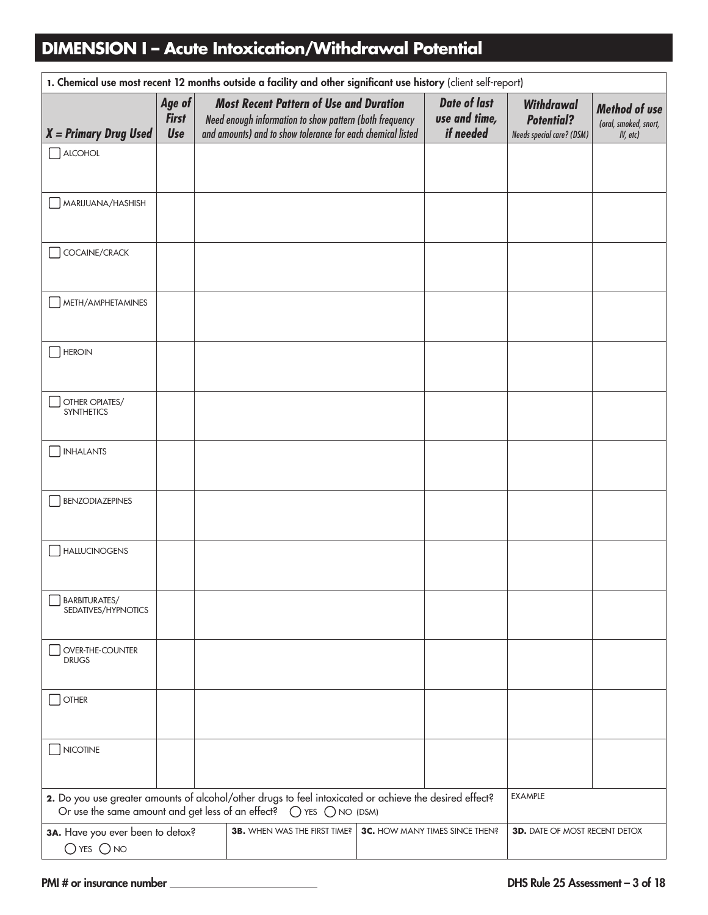### **DIMENSION I – Acute Intoxication/Withdrawal Potential**

| 1. Chemical use most recent 12 months outside a facility and other significant use history (client self-report) |                               |  |                                                                                                                                                                                                 |  |                                                   |                                                                            |                                               |
|-----------------------------------------------------------------------------------------------------------------|-------------------------------|--|-------------------------------------------------------------------------------------------------------------------------------------------------------------------------------------------------|--|---------------------------------------------------|----------------------------------------------------------------------------|-----------------------------------------------|
| $X = Primary Drug Used$                                                                                         | Age of<br><b>First</b><br>Use |  | <b>Most Recent Pattern of Use and Duration</b><br>Need enough information to show pattern (both frequency<br>and amounts) and to show tolerance for each chemical listed                        |  | <b>Date of last</b><br>use and time,<br>if needed | <b>Withdrawal</b><br><b>Potential?</b><br><b>Needs special care? (DSM)</b> | <b>Method of use</b><br>(oral, smoked, snort, |
|                                                                                                                 |                               |  |                                                                                                                                                                                                 |  |                                                   |                                                                            | IV, etc)                                      |
| $\Box$ ALCOHOL                                                                                                  |                               |  |                                                                                                                                                                                                 |  |                                                   |                                                                            |                                               |
| MARIJUANA/HASHISH                                                                                               |                               |  |                                                                                                                                                                                                 |  |                                                   |                                                                            |                                               |
| COCAINE/CRACK                                                                                                   |                               |  |                                                                                                                                                                                                 |  |                                                   |                                                                            |                                               |
| METH/AMPHETAMINES                                                                                               |                               |  |                                                                                                                                                                                                 |  |                                                   |                                                                            |                                               |
| <b>HEROIN</b>                                                                                                   |                               |  |                                                                                                                                                                                                 |  |                                                   |                                                                            |                                               |
| OTHER OPIATES/<br><b>SYNTHETICS</b>                                                                             |                               |  |                                                                                                                                                                                                 |  |                                                   |                                                                            |                                               |
| <b>INHALANTS</b>                                                                                                |                               |  |                                                                                                                                                                                                 |  |                                                   |                                                                            |                                               |
| <b>BENZODIAZEPINES</b>                                                                                          |                               |  |                                                                                                                                                                                                 |  |                                                   |                                                                            |                                               |
| <b>HALLUCINOGENS</b>                                                                                            |                               |  |                                                                                                                                                                                                 |  |                                                   |                                                                            |                                               |
| BARBITURATES/<br>SEDATIVES/HYPNOTICS                                                                            |                               |  |                                                                                                                                                                                                 |  |                                                   |                                                                            |                                               |
| OVER-THE-COUNTER<br><b>DRUGS</b>                                                                                |                               |  |                                                                                                                                                                                                 |  |                                                   |                                                                            |                                               |
| <b>OTHER</b>                                                                                                    |                               |  |                                                                                                                                                                                                 |  |                                                   |                                                                            |                                               |
| NICOTINE                                                                                                        |                               |  |                                                                                                                                                                                                 |  |                                                   |                                                                            |                                               |
|                                                                                                                 |                               |  | 2. Do you use greater amounts of alcohol/other drugs to feel intoxicated or achieve the desired effect?<br>Or use the same amount and get less of an effect? $\bigcirc$ YES $\bigcirc$ NO (DSM) |  |                                                   | <b>EXAMPLE</b>                                                             |                                               |
| 3A. Have you ever been to detox?<br>$O$ YES $O$ NO                                                              |                               |  | <b>3B.</b> WHEN WAS THE FIRST TIME?                                                                                                                                                             |  | <b>3C.</b> HOW MANY TIMES SINCE THEN?             | <b>3D.</b> DATE OF MOST RECENT DETOX                                       |                                               |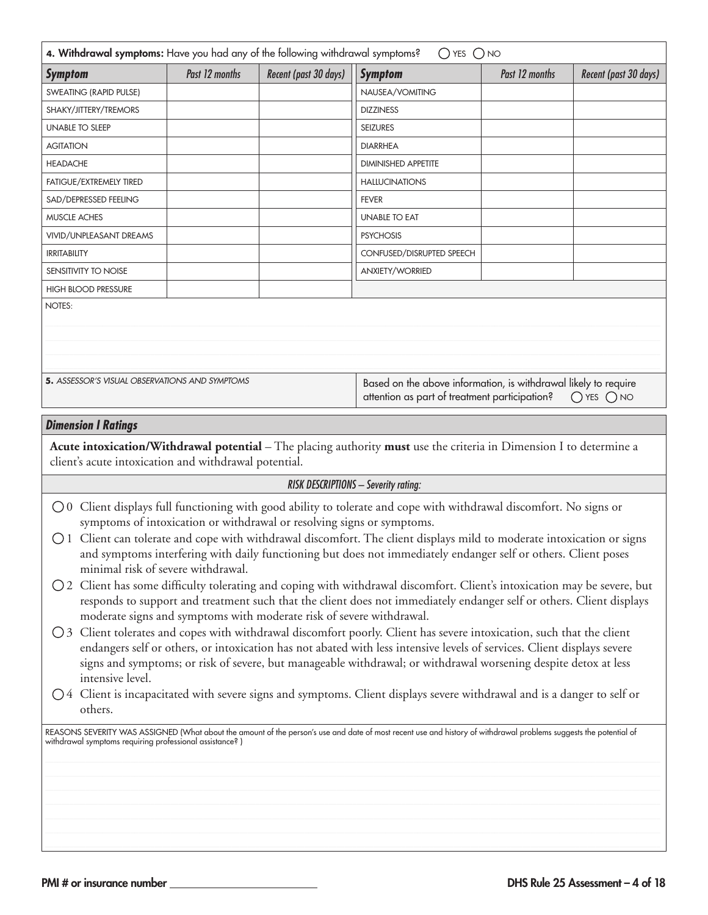| 4. Withdrawal symptoms: Have you had any of the following withdrawal symptoms?                                                                                                                                                                                                                                                                                                                                                                                                                                                                                                                                                                                                                                                                                                                                                                                                                                                                                                                                                                                                                                                                                                                                                                                                                                                                                                                                                                                                                                                                                                                                                 |                                                                                                                                                                                                |                       | $O$ YES $O$ NO                                                                                                      |                |                       |  |  |
|--------------------------------------------------------------------------------------------------------------------------------------------------------------------------------------------------------------------------------------------------------------------------------------------------------------------------------------------------------------------------------------------------------------------------------------------------------------------------------------------------------------------------------------------------------------------------------------------------------------------------------------------------------------------------------------------------------------------------------------------------------------------------------------------------------------------------------------------------------------------------------------------------------------------------------------------------------------------------------------------------------------------------------------------------------------------------------------------------------------------------------------------------------------------------------------------------------------------------------------------------------------------------------------------------------------------------------------------------------------------------------------------------------------------------------------------------------------------------------------------------------------------------------------------------------------------------------------------------------------------------------|------------------------------------------------------------------------------------------------------------------------------------------------------------------------------------------------|-----------------------|---------------------------------------------------------------------------------------------------------------------|----------------|-----------------------|--|--|
| <b>Symptom</b>                                                                                                                                                                                                                                                                                                                                                                                                                                                                                                                                                                                                                                                                                                                                                                                                                                                                                                                                                                                                                                                                                                                                                                                                                                                                                                                                                                                                                                                                                                                                                                                                                 | Past 12 months                                                                                                                                                                                 | Recent (past 30 days) | <b>Symptom</b>                                                                                                      | Past 12 months | Recent (past 30 days) |  |  |
| SWEATING (RAPID PULSE)                                                                                                                                                                                                                                                                                                                                                                                                                                                                                                                                                                                                                                                                                                                                                                                                                                                                                                                                                                                                                                                                                                                                                                                                                                                                                                                                                                                                                                                                                                                                                                                                         |                                                                                                                                                                                                |                       | NAUSEA/VOMITING                                                                                                     |                |                       |  |  |
| SHAKY/JITTERY/TREMORS                                                                                                                                                                                                                                                                                                                                                                                                                                                                                                                                                                                                                                                                                                                                                                                                                                                                                                                                                                                                                                                                                                                                                                                                                                                                                                                                                                                                                                                                                                                                                                                                          |                                                                                                                                                                                                |                       | <b>DIZZINESS</b>                                                                                                    |                |                       |  |  |
| <b>UNABLE TO SLEEP</b>                                                                                                                                                                                                                                                                                                                                                                                                                                                                                                                                                                                                                                                                                                                                                                                                                                                                                                                                                                                                                                                                                                                                                                                                                                                                                                                                                                                                                                                                                                                                                                                                         |                                                                                                                                                                                                |                       | <b>SEIZURES</b>                                                                                                     |                |                       |  |  |
| <b>AGITATION</b>                                                                                                                                                                                                                                                                                                                                                                                                                                                                                                                                                                                                                                                                                                                                                                                                                                                                                                                                                                                                                                                                                                                                                                                                                                                                                                                                                                                                                                                                                                                                                                                                               |                                                                                                                                                                                                |                       | <b>DIARRHEA</b>                                                                                                     |                |                       |  |  |
| <b>HEADACHE</b>                                                                                                                                                                                                                                                                                                                                                                                                                                                                                                                                                                                                                                                                                                                                                                                                                                                                                                                                                                                                                                                                                                                                                                                                                                                                                                                                                                                                                                                                                                                                                                                                                |                                                                                                                                                                                                |                       | <b>DIMINISHED APPETITE</b>                                                                                          |                |                       |  |  |
| FATIGUE/EXTREMELY TIRED                                                                                                                                                                                                                                                                                                                                                                                                                                                                                                                                                                                                                                                                                                                                                                                                                                                                                                                                                                                                                                                                                                                                                                                                                                                                                                                                                                                                                                                                                                                                                                                                        |                                                                                                                                                                                                |                       | <b>HALLUCINATIONS</b>                                                                                               |                |                       |  |  |
| SAD/DEPRESSED FEELING                                                                                                                                                                                                                                                                                                                                                                                                                                                                                                                                                                                                                                                                                                                                                                                                                                                                                                                                                                                                                                                                                                                                                                                                                                                                                                                                                                                                                                                                                                                                                                                                          |                                                                                                                                                                                                |                       | <b>FEVER</b>                                                                                                        |                |                       |  |  |
| MUSCLE ACHES                                                                                                                                                                                                                                                                                                                                                                                                                                                                                                                                                                                                                                                                                                                                                                                                                                                                                                                                                                                                                                                                                                                                                                                                                                                                                                                                                                                                                                                                                                                                                                                                                   |                                                                                                                                                                                                |                       | <b>UNABLE TO EAT</b>                                                                                                |                |                       |  |  |
| VIVID/UNPLEASANT DREAMS                                                                                                                                                                                                                                                                                                                                                                                                                                                                                                                                                                                                                                                                                                                                                                                                                                                                                                                                                                                                                                                                                                                                                                                                                                                                                                                                                                                                                                                                                                                                                                                                        |                                                                                                                                                                                                |                       | <b>PSYCHOSIS</b>                                                                                                    |                |                       |  |  |
| <b>IRRITABILITY</b>                                                                                                                                                                                                                                                                                                                                                                                                                                                                                                                                                                                                                                                                                                                                                                                                                                                                                                                                                                                                                                                                                                                                                                                                                                                                                                                                                                                                                                                                                                                                                                                                            |                                                                                                                                                                                                |                       | CONFUSED/DISRUPTED SPEECH                                                                                           |                |                       |  |  |
| SENSITIVITY TO NOISE                                                                                                                                                                                                                                                                                                                                                                                                                                                                                                                                                                                                                                                                                                                                                                                                                                                                                                                                                                                                                                                                                                                                                                                                                                                                                                                                                                                                                                                                                                                                                                                                           |                                                                                                                                                                                                |                       | <b>ANXIETY/WORRIED</b>                                                                                              |                |                       |  |  |
| <b>HIGH BLOOD PRESSURE</b>                                                                                                                                                                                                                                                                                                                                                                                                                                                                                                                                                                                                                                                                                                                                                                                                                                                                                                                                                                                                                                                                                                                                                                                                                                                                                                                                                                                                                                                                                                                                                                                                     |                                                                                                                                                                                                |                       |                                                                                                                     |                |                       |  |  |
|                                                                                                                                                                                                                                                                                                                                                                                                                                                                                                                                                                                                                                                                                                                                                                                                                                                                                                                                                                                                                                                                                                                                                                                                                                                                                                                                                                                                                                                                                                                                                                                                                                | NOTES:<br>5. ASSESSOR'S VISUAL OBSERVATIONS AND SYMPTOMS<br>Based on the above information, is withdrawal likely to require<br>attention as part of treatment participation?<br>$O$ YES $O$ NO |                       |                                                                                                                     |                |                       |  |  |
|                                                                                                                                                                                                                                                                                                                                                                                                                                                                                                                                                                                                                                                                                                                                                                                                                                                                                                                                                                                                                                                                                                                                                                                                                                                                                                                                                                                                                                                                                                                                                                                                                                |                                                                                                                                                                                                |                       |                                                                                                                     |                |                       |  |  |
| <b>Dimension I Ratings</b>                                                                                                                                                                                                                                                                                                                                                                                                                                                                                                                                                                                                                                                                                                                                                                                                                                                                                                                                                                                                                                                                                                                                                                                                                                                                                                                                                                                                                                                                                                                                                                                                     |                                                                                                                                                                                                |                       |                                                                                                                     |                |                       |  |  |
| client's acute intoxication and withdrawal potential.                                                                                                                                                                                                                                                                                                                                                                                                                                                                                                                                                                                                                                                                                                                                                                                                                                                                                                                                                                                                                                                                                                                                                                                                                                                                                                                                                                                                                                                                                                                                                                          |                                                                                                                                                                                                |                       | Acute intoxication/Withdrawal potential - The placing authority must use the criteria in Dimension I to determine a |                |                       |  |  |
|                                                                                                                                                                                                                                                                                                                                                                                                                                                                                                                                                                                                                                                                                                                                                                                                                                                                                                                                                                                                                                                                                                                                                                                                                                                                                                                                                                                                                                                                                                                                                                                                                                |                                                                                                                                                                                                |                       |                                                                                                                     |                |                       |  |  |
| <b>RISK DESCRIPTIONS - Severity rating:</b><br>○ 0 Client displays full functioning with good ability to tolerate and cope with withdrawal discomfort. No signs or<br>symptoms of intoxication or withdrawal or resolving signs or symptoms.<br>○ 1 Client can tolerate and cope with withdrawal discomfort. The client displays mild to moderate intoxication or signs<br>and symptoms interfering with daily functioning but does not immediately endanger self or others. Client poses<br>minimal risk of severe withdrawal.<br>○ 2 Client has some difficulty tolerating and coping with withdrawal discomfort. Client's intoxication may be severe, but<br>responds to support and treatment such that the client does not immediately endanger self or others. Client displays<br>moderate signs and symptoms with moderate risk of severe withdrawal.<br>○ 3 Client tolerates and copes with withdrawal discomfort poorly. Client has severe intoxication, such that the client<br>endangers self or others, or intoxication has not abated with less intensive levels of services. Client displays severe<br>signs and symptoms; or risk of severe, but manageable withdrawal; or withdrawal worsening despite detox at less<br>intensive level.<br>○4 Client is incapacitated with severe signs and symptoms. Client displays severe withdrawal and is a danger to self or<br>others.<br>REASONS SEVERITY WAS ASSIGNED (What about the amount of the person's use and date of most recent use and history of withdrawal problems suggests the potential of<br>withdrawal symptoms requiring professional assistance?) |                                                                                                                                                                                                |                       |                                                                                                                     |                |                       |  |  |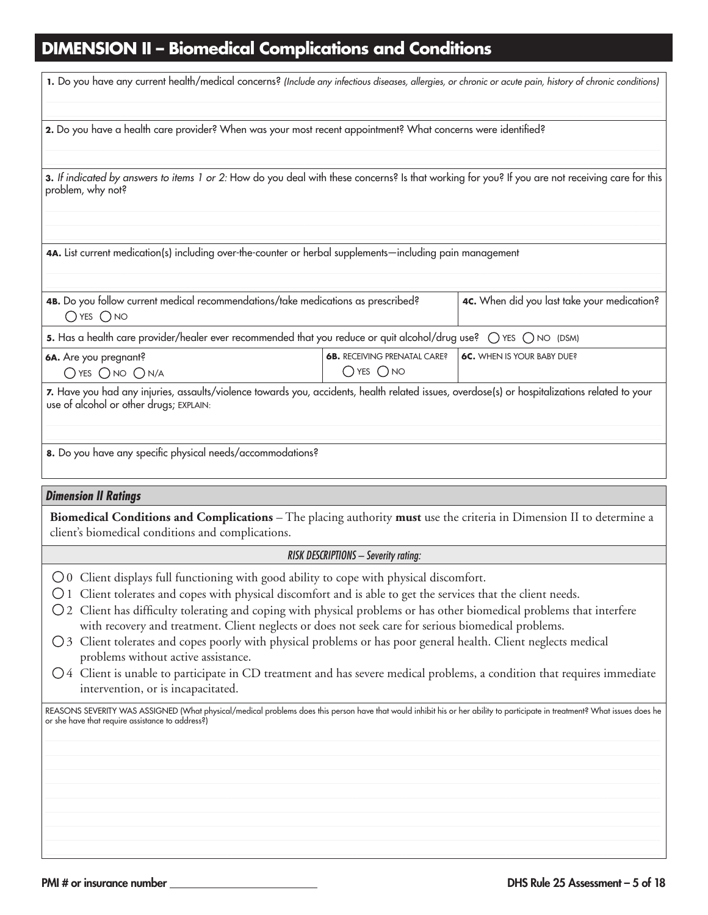# **DIMENSION II – Biomedical Complications and Conditions**

| 1. Do you have any current health/medical concerns? (Include any infectious diseases, allergies, or chronic or acute pain, history of chronic conditions)                                                                                                                                                                                                                                                                                                                                                                                                                                                                                                                                                                                                                                  |                                                       |                                             |  |  |  |
|--------------------------------------------------------------------------------------------------------------------------------------------------------------------------------------------------------------------------------------------------------------------------------------------------------------------------------------------------------------------------------------------------------------------------------------------------------------------------------------------------------------------------------------------------------------------------------------------------------------------------------------------------------------------------------------------------------------------------------------------------------------------------------------------|-------------------------------------------------------|---------------------------------------------|--|--|--|
| 2. Do you have a health care provider? When was your most recent appointment? What concerns were identified?                                                                                                                                                                                                                                                                                                                                                                                                                                                                                                                                                                                                                                                                               |                                                       |                                             |  |  |  |
| 3. If indicated by answers to items 1 or 2: How do you deal with these concerns? Is that working for you? If you are not receiving care for this<br>problem, why not?                                                                                                                                                                                                                                                                                                                                                                                                                                                                                                                                                                                                                      |                                                       |                                             |  |  |  |
| 4A. List current medication(s) including over-the-counter or herbal supplements—including pain management                                                                                                                                                                                                                                                                                                                                                                                                                                                                                                                                                                                                                                                                                  |                                                       |                                             |  |  |  |
| 4B. Do you follow current medical recommendations/take medications as prescribed?<br>$O$ YES $O$ NO                                                                                                                                                                                                                                                                                                                                                                                                                                                                                                                                                                                                                                                                                        |                                                       | 4c. When did you last take your medication? |  |  |  |
| 5. Has a health care provider/healer ever recommended that you reduce or quit alcohol/drug use? O YES O NO (DSM)                                                                                                                                                                                                                                                                                                                                                                                                                                                                                                                                                                                                                                                                           |                                                       |                                             |  |  |  |
| 6A. Are you pregnant?<br>$O$ yes $O$ no $O$ n/a                                                                                                                                                                                                                                                                                                                                                                                                                                                                                                                                                                                                                                                                                                                                            | <b>6B.</b> RECEIVING PRENATAL CARE?<br>$O$ YES $O$ NO | 6C. WHEN IS YOUR BABY DUE?                  |  |  |  |
| 7. Have you had any injuries, assaults/violence towards you, accidents, health related issues, overdose(s) or hospitalizations related to your<br>use of alcohol or other drugs; EXPLAIN:<br>8. Do you have any specific physical needs/accommodations?                                                                                                                                                                                                                                                                                                                                                                                                                                                                                                                                    |                                                       |                                             |  |  |  |
|                                                                                                                                                                                                                                                                                                                                                                                                                                                                                                                                                                                                                                                                                                                                                                                            |                                                       |                                             |  |  |  |
| <b>Dimension II Ratings</b>                                                                                                                                                                                                                                                                                                                                                                                                                                                                                                                                                                                                                                                                                                                                                                |                                                       |                                             |  |  |  |
| Biomedical Conditions and Complications - The placing authority must use the criteria in Dimension II to determine a<br>client's biomedical conditions and complications.                                                                                                                                                                                                                                                                                                                                                                                                                                                                                                                                                                                                                  |                                                       |                                             |  |  |  |
|                                                                                                                                                                                                                                                                                                                                                                                                                                                                                                                                                                                                                                                                                                                                                                                            | <b>RISK DESCRIPTIONS - Severity rating:</b>           |                                             |  |  |  |
| $\bigcirc$ 0 Client displays full functioning with good ability to cope with physical discomfort.<br>O 1 Client tolerates and copes with physical discomfort and is able to get the services that the client needs.<br>○ 2 Client has difficulty tolerating and coping with physical problems or has other biomedical problems that interfere<br>with recovery and treatment. Client neglects or does not seek care for serious biomedical problems.<br>○ 3 Client tolerates and copes poorly with physical problems or has poor general health. Client neglects medical<br>problems without active assistance.<br>$\bigcirc$ 4 Client is unable to participate in CD treatment and has severe medical problems, a condition that requires immediate<br>intervention, or is incapacitated. |                                                       |                                             |  |  |  |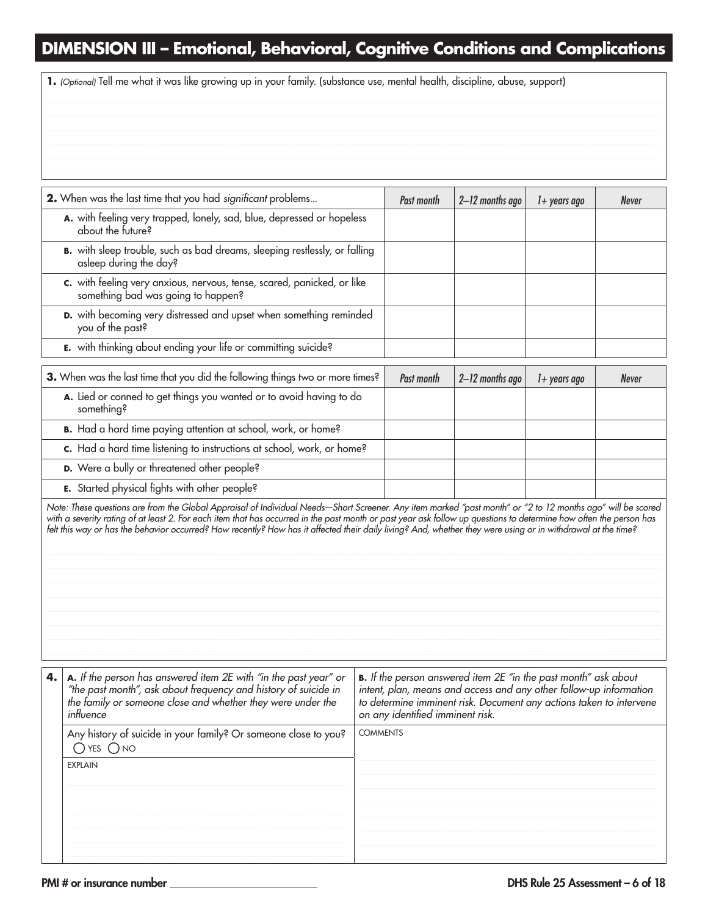## **DIMENSION III – Emotional, Behavioral, Cognitive Conditions and Complications**

**1.** *(Optional)* Tell me what it was like growing up in your family. (substance use, mental health, discipline, abuse, support)

| 2. When was the last time that you had significant problems                                                                                                                                                                                                                                                                                                                                                                                                                                       | Past month | 2-12 months ago | $1+$ years ago | Never |
|---------------------------------------------------------------------------------------------------------------------------------------------------------------------------------------------------------------------------------------------------------------------------------------------------------------------------------------------------------------------------------------------------------------------------------------------------------------------------------------------------|------------|-----------------|----------------|-------|
| A. with feeling very trapped, lonely, sad, blue, depressed or hopeless<br>about the future?                                                                                                                                                                                                                                                                                                                                                                                                       |            |                 |                |       |
| B. with sleep trouble, such as bad dreams, sleeping restlessly, or falling<br>asleep during the day?                                                                                                                                                                                                                                                                                                                                                                                              |            |                 |                |       |
| c. with feeling very anxious, nervous, tense, scared, panicked, or like<br>something bad was going to happen?                                                                                                                                                                                                                                                                                                                                                                                     |            |                 |                |       |
| D. with becoming very distressed and upset when something reminded<br>you of the past?                                                                                                                                                                                                                                                                                                                                                                                                            |            |                 |                |       |
| E. with thinking about ending your life or committing suicide?                                                                                                                                                                                                                                                                                                                                                                                                                                    |            |                 |                |       |
| 3. When was the last time that you did the following things two or more times?                                                                                                                                                                                                                                                                                                                                                                                                                    | Past month | 2-12 months ago | $1+$ years ago | Never |
| A. Lied or conned to get things you wanted or to avoid having to do<br>something?                                                                                                                                                                                                                                                                                                                                                                                                                 |            |                 |                |       |
| B. Had a hard time paying attention at school, work, or home?                                                                                                                                                                                                                                                                                                                                                                                                                                     |            |                 |                |       |
| c. Had a hard time listening to instructions at school, work, or home?                                                                                                                                                                                                                                                                                                                                                                                                                            |            |                 |                |       |
| D. Were a bully or threatened other people?                                                                                                                                                                                                                                                                                                                                                                                                                                                       |            |                 |                |       |
| <b>E.</b> Started physical fights with other people?                                                                                                                                                                                                                                                                                                                                                                                                                                              |            |                 |                |       |
| Note: These questions are from the Global Appraisal of Individual Needs–Short Screener. Any item marked "past month" or "2 to 12 months ago" will be scored<br>with a severity rating of at least 2. For each item that has occurred in the past month or past year ask follow up questions to determine how often the person has<br>felt this way or has the behavior occurred? How recently? How has it affected their daily living? And, whether they were using or in withdrawal at the time? |            |                 |                |       |

| A. If the person has answered item 2E with "in the past year" or<br>"the past month", ask about frequency and history of suicide in<br>the family or someone close and whether they were under the<br>influence | <b>B.</b> If the person answered item 2E "in the past month" ask about<br>intent, plan, means and access and any other follow-up information<br>to determine imminent risk. Document any actions taken to intervene<br>on any identified imminent risk. |
|-----------------------------------------------------------------------------------------------------------------------------------------------------------------------------------------------------------------|---------------------------------------------------------------------------------------------------------------------------------------------------------------------------------------------------------------------------------------------------------|
| Any history of suicide in your family? Or someone close to you?<br>$\bigcirc$ yes $\bigcirc$ no                                                                                                                 | <b>COMMENTS</b>                                                                                                                                                                                                                                         |
| <b>EXPLAIN</b>                                                                                                                                                                                                  |                                                                                                                                                                                                                                                         |
|                                                                                                                                                                                                                 |                                                                                                                                                                                                                                                         |
|                                                                                                                                                                                                                 |                                                                                                                                                                                                                                                         |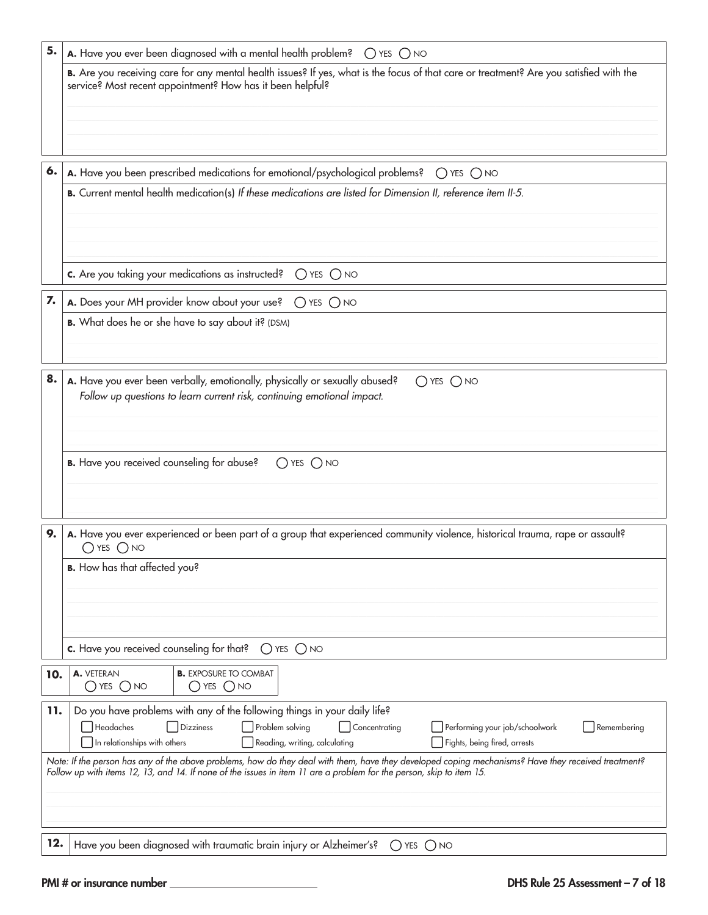| 5.  | A. Have you ever been diagnosed with a mental health problem? ( ) YES ( ) NO                                                                                                                                                                                                              |
|-----|-------------------------------------------------------------------------------------------------------------------------------------------------------------------------------------------------------------------------------------------------------------------------------------------|
|     | B. Are you receiving care for any mental health issues? If yes, what is the focus of that care or treatment? Are you satisfied with the<br>service? Most recent appointment? How has it been helpful?                                                                                     |
|     |                                                                                                                                                                                                                                                                                           |
| 6.  | A. Have you been prescribed medications for emotional/psychological problems? $\bigcirc$ YES $\bigcirc$ NO                                                                                                                                                                                |
|     | B. Current mental health medication(s) If these medications are listed for Dimension II, reference item II-5.                                                                                                                                                                             |
|     | c. Are you taking your medications as instructed? $\bigcirc$ YES $\bigcirc$ NO                                                                                                                                                                                                            |
| 7.  | A. Does your MH provider know about your use? O YES O NO                                                                                                                                                                                                                                  |
|     | B. What does he or she have to say about it? (DSM)                                                                                                                                                                                                                                        |
| 8.  | A. Have you ever been verbally, emotionally, physically or sexually abused?<br>$O$ YES $O$ NO<br>Follow up questions to learn current risk, continuing emotional impact.                                                                                                                  |
|     | <b>B.</b> Have you received counseling for abuse?<br>$O$ YES $O$ NO                                                                                                                                                                                                                       |
| 9.  | A. Have you ever experienced or been part of a group that experienced community violence, historical trauma, rape or assault?<br>$O$ YES $O$ NO                                                                                                                                           |
|     | <b>B.</b> How has that affected you?                                                                                                                                                                                                                                                      |
|     | c. Have you received counseling for that?<br>$O$ YES $O$ NO                                                                                                                                                                                                                               |
| 10. | <b>B.</b> EXPOSURE TO COMBAT<br>A. VETERAN<br>$\bigcirc$ yes $\bigcirc$ no<br>$\bigcirc$ yes $\bigcirc$ no                                                                                                                                                                                |
| 11. | Do you have problems with any of the following things in your daily life?<br>Headaches<br>Problem solving<br>Dizziness<br>Concentrating<br>Performing your job/schoolwork<br>Remembering<br>In relationships with others<br>Reading, writing, calculating<br>Fights, being fired, arrests |
|     | Note: If the person has any of the above problems, how do they deal with them, have they developed coping mechanisms? Have they received treatment?<br>Follow up with items 12, 13, and 14. If none of the issues in item 11 are a problem for the person, skip to item 15.               |
| 12. | Have you been diagnosed with traumatic brain injury or Alzheimer's?<br>$O$ YES $O$ NO                                                                                                                                                                                                     |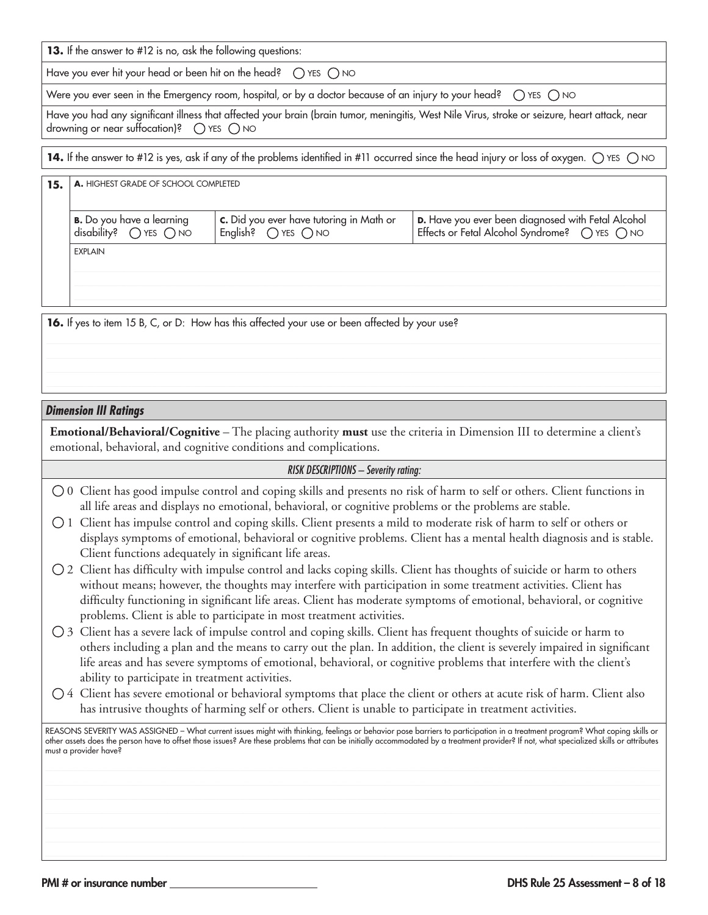**13.** If the answer to #12 is no, ask the following questions:

Have you ever hit your head or been hit on the head?  $\bigcirc$  YES  $\bigcirc$  NO

Were you ever seen in the Emergency room, hospital, or by a doctor because of an injury to your head?  $\circ$  YES  $\circ$  NO

Have you had any significant illness that affected your brain (brain tumor, meningitis, West Nile Virus, stroke or seizure, heart attack, near drowning or near suffocation)?  $\bigcap$  YES  $\bigcap$  NO

**14.** If the answer to #12 is yes, ask if any of the problems identified in #11 occurred since the head injury or loss of oxygen.  $\bigcirc$  YES  $\bigcirc$  NO

| 15. | A. HIGHEST GRADE OF SCHOOL COMPLETED                                         |                                                                                 |                                                                                                       |
|-----|------------------------------------------------------------------------------|---------------------------------------------------------------------------------|-------------------------------------------------------------------------------------------------------|
|     | <b>B.</b> Do you have a learning<br>disability? $\bigcirc$ YES $\bigcirc$ NO | c. Did you ever have tutoring in Math or<br>English? $\bigcap$ YES $\bigcap$ NO | D. Have you ever been diagnosed with Fetal Alcohol<br>Effects or Fetal Alcohol Syndrome? ( YES ( ) NO |
|     | <b>EXPLAIN</b>                                                               |                                                                                 |                                                                                                       |

16. If yes to item 15 B, C, or D: How has this affected your use or been affected by your use?

#### *Dimension III Ratings*

**Emotional/Behavioral/Cognitive** – The placing authority **must** use the criteria in Dimension III to determine a client's emotional, behavioral, and cognitive conditions and complications.

#### *RISK DESCRIPTIONS – Severity rating:*

- 0 Client has good impulse control and coping skills and presents no risk of harm to self or others. Client functions in all life areas and displays no emotional, behavioral, or cognitive problems or the problems are stable.
- 1 Client has impulse control and coping skills. Client presents a mild to moderate risk of harm to self or others or displays symptoms of emotional, behavioral or cognitive problems. Client has a mental health diagnosis and is stable. Client functions adequately in significant life areas.
- $\bigcirc$  2 Client has difficulty with impulse control and lacks coping skills. Client has thoughts of suicide or harm to others without means; however, the thoughts may interfere with participation in some treatment activities. Client has difficulty functioning in significant life areas. Client has moderate symptoms of emotional, behavioral, or cognitive problems. Client is able to participate in most treatment activities.
- 3 Client has a severe lack of impulse control and coping skills. Client has frequent thoughts of suicide or harm to others including a plan and the means to carry out the plan. In addition, the client is severely impaired in significant life areas and has severe symptoms of emotional, behavioral, or cognitive problems that interfere with the client's ability to participate in treatment activities.
- $\bigcirc$  4 Client has severe emotional or behavioral symptoms that place the client or others at acute risk of harm. Client also has intrusive thoughts of harming self or others. Client is unable to participate in treatment activities.

REASONS SEVERITY WAS ASSIGNED - What current issues might with thinking, feelings or behavior pose barriers to participation in a treatment program? What coping skills or other assets does the person have to offset those issues? Are these problems that can be initially accommodated by a treatment provider? If not, what specialized skills or attributes must a provider have?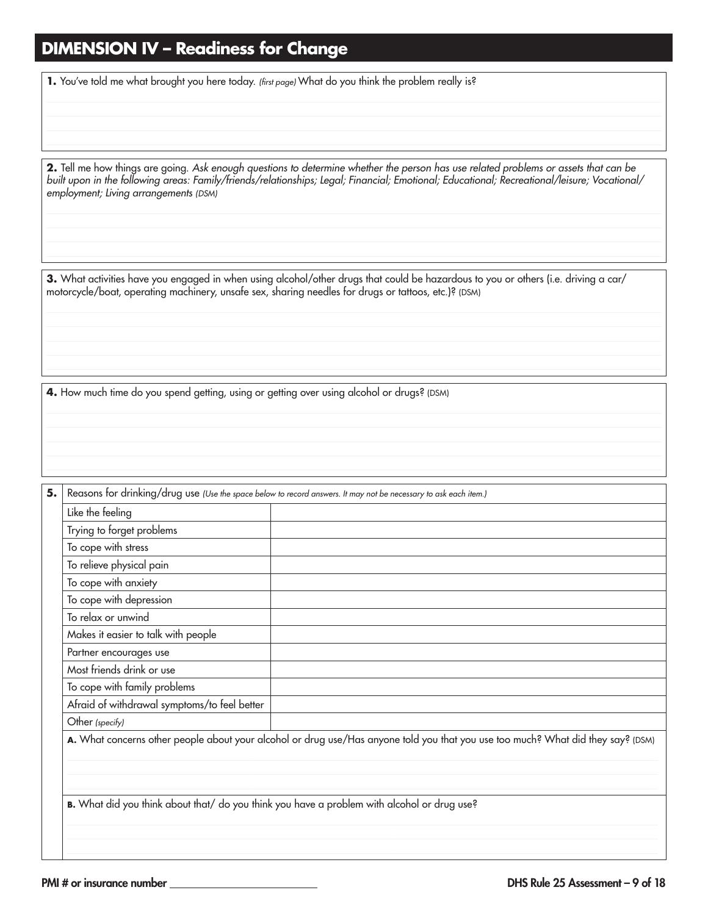### **DIMENSION IV - Readiness for Change**

1. You've told me what brought you here today. (first page) What do you think the problem really is?

2. Tell me how things are going. Ask enough questions to determine whether the person has use related problems or assets that can be built upon in the following areas: Family/friends/relationships; Legal; Financial; Emotional; Educational; Recreational/leisure; Vocational/ employment; Living arrangements (DSM)

3. What activities have you engaged in when using alcohol/other drugs that could be hazardous to you or others (i.e. driving a car/ motorcycle/boat, operating machinery, unsafe sex, sharing needles for drugs or tattoos, etc.)? (DSM)

4. How much time do you spend getting, using or getting over using alcohol or drugs? (DSM)

Reasons for drinking/drug use (Use the space below to record answers. It may not be necessary to ask each item.) 5. Like the feeling Trying to forget problems To cope with stress To relieve physical pain To cope with anxiety To cope with depression To relax or unwind Makes it easier to talk with people Partner encourages use Most friends drink or use To cope with family problems Afraid of withdrawal symptoms/to feel better Other (specify) A. What concerns other people about your alcohol or drug use/Has anyone told you that you use too much? What did they say? (DSM) B. What did you think about that/ do you think you have a problem with alcohol or drug use?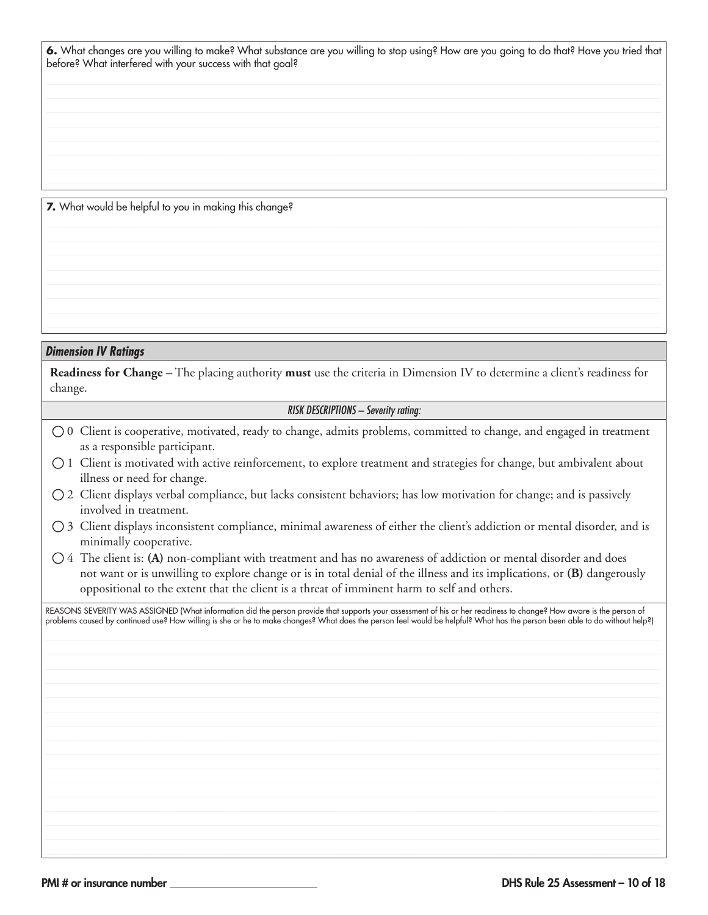6. What changes are you willing to make? What substance are you willing to stop using? How are you going to do that? Have you tried that before? What interfered with your success with that goal?

7. What would be helpful to you in making this change?

#### **Dimension IV Ratings**

**Readiness for Change** – The placing authority must use the criteria in Dimension IV to determine a client's readiness for change.

#### **RISK DESCRIPTIONS - Severity rating:**

- $\bigcirc$  0 Client is cooperative, motivated, ready to change, admits problems, committed to change, and engaged in treatment as a responsible participant.
- 1 Client is motivated with active reinforcement, to explore treatment and strategies for change, but ambivalent about illness or need for change.
- 2 Client displays verbal compliance, but lacks consistent behaviors; has low motivation for change; and is passively involved in treatment.
- 3 Client displays inconsistent compliance, minimal awareness of either the client's addiction or mental disorder, and is minimally cooperative.
- $\bigcirc$  4 The client is: (A) non-compliant with treatment and has no awareness of addiction or mental disorder and does not want or is unwilling to explore change or is in total denial of the illness and its implications, or (B) dangerously oppositional to the extent that the client is a threat of imminent harm to self and others.

REASONS SEVERITY WAS ASSIGNED (What information did the person provide that supports your assessment of his or her readiness to change? How aware is the person of<br>problems caused by continued use? How willing is she or he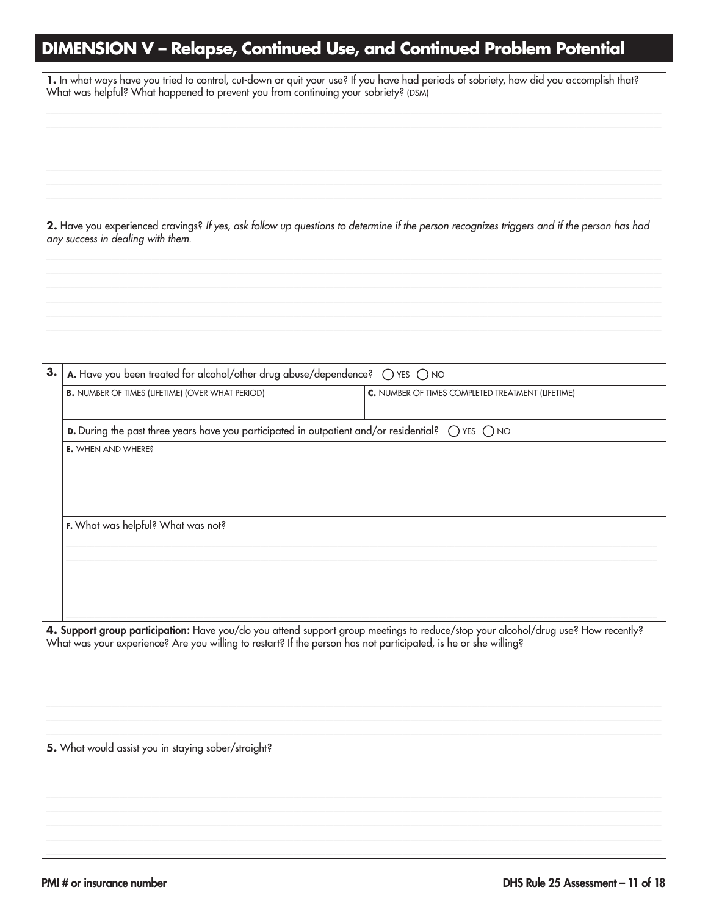## DIMENSION V - Relapse, Continued Use, and Continued Problem Potential

|    | 1. In what ways have you tried to control, cut-down or quit your use? If you have had periods of sobriety, how did you accomplish that?<br>What was helpful? What happened to prevent you from continuing your sobriety? (DSM)                       |                                                   |
|----|------------------------------------------------------------------------------------------------------------------------------------------------------------------------------------------------------------------------------------------------------|---------------------------------------------------|
|    |                                                                                                                                                                                                                                                      |                                                   |
|    |                                                                                                                                                                                                                                                      |                                                   |
|    |                                                                                                                                                                                                                                                      |                                                   |
|    |                                                                                                                                                                                                                                                      |                                                   |
|    | 2. Have you experienced cravings? If yes, ask follow up questions to determine if the person recognizes triggers and if the person has had<br>any success in dealing with them.                                                                      |                                                   |
|    |                                                                                                                                                                                                                                                      |                                                   |
|    |                                                                                                                                                                                                                                                      |                                                   |
|    |                                                                                                                                                                                                                                                      |                                                   |
|    |                                                                                                                                                                                                                                                      |                                                   |
| 3. | A. Have you been treated for alcohol/other drug abuse/dependence? (C) YES (C) NO                                                                                                                                                                     |                                                   |
|    | <b>B.</b> NUMBER OF TIMES (LIFETIME) (OVER WHAT PERIOD)                                                                                                                                                                                              | C. NUMBER OF TIMES COMPLETED TREATMENT (LIFETIME) |
|    | D. During the past three years have you participated in outpatient and/or residential? $\bigcirc$ YES $\bigcirc$ NO                                                                                                                                  |                                                   |
|    | <b>E.</b> WHEN AND WHERE?                                                                                                                                                                                                                            |                                                   |
|    |                                                                                                                                                                                                                                                      |                                                   |
|    |                                                                                                                                                                                                                                                      |                                                   |
|    | F. What was helpful? What was not?                                                                                                                                                                                                                   |                                                   |
|    |                                                                                                                                                                                                                                                      |                                                   |
|    |                                                                                                                                                                                                                                                      |                                                   |
|    |                                                                                                                                                                                                                                                      |                                                   |
|    |                                                                                                                                                                                                                                                      |                                                   |
|    | 4. Support group participation: Have you/do you attend support group meetings to reduce/stop your alcohol/drug use? How recently?<br>What was your experience? Are you willing to restart? If the person has not participated, is he or she willing? |                                                   |
|    |                                                                                                                                                                                                                                                      |                                                   |
|    |                                                                                                                                                                                                                                                      |                                                   |
|    |                                                                                                                                                                                                                                                      |                                                   |
|    | 5. What would assist you in staying sober/straight?                                                                                                                                                                                                  |                                                   |
|    |                                                                                                                                                                                                                                                      |                                                   |
|    |                                                                                                                                                                                                                                                      |                                                   |
|    |                                                                                                                                                                                                                                                      |                                                   |
|    |                                                                                                                                                                                                                                                      |                                                   |
|    |                                                                                                                                                                                                                                                      |                                                   |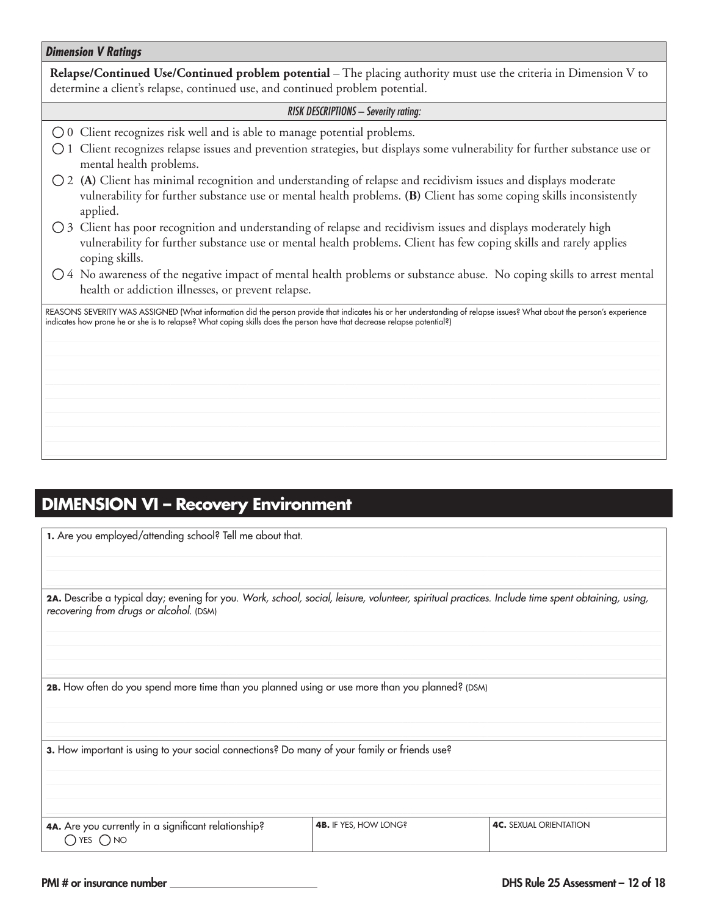#### *Dimension V Ratings*

**Relapse/Continued Use/Continued problem potential** – The placing authority must use the criteria in Dimension V to determine a client's relapse, continued use, and continued problem potential.

#### *RISK DESCRIPTIONS – Severity rating:*

- 0 Client recognizes risk well and is able to manage potential problems.
- $\bigcirc$  1 Client recognizes relapse issues and prevention strategies, but displays some vulnerability for further substance use or mental health problems.
- 2 **(A)** Client has minimal recognition and understanding of relapse and recidivism issues and displays moderate vulnerability for further substance use or mental health problems. **(B)** Client has some coping skills inconsistently applied.
- 3 Client has poor recognition and understanding of relapse and recidivism issues and displays moderately high vulnerability for further substance use or mental health problems. Client has few coping skills and rarely applies coping skills.
- $\bigcirc$  4 No awareness of the negative impact of mental health problems or substance abuse. No coping skills to arrest mental health or addiction illnesses, or prevent relapse.

REASONS SEVERITY WAS ASSIGNED (What information did the person provide that indicates his or her understanding of relapse issues? What about the person's experience indicates how prone he or she is to relapse? What coping skills does the person have that decrease relapse potential?)

### **DIMENSION VI – Recovery Environment**

**1.** Are you employed/attending school? Tell me about that.

**2A.** Describe a typical day; evening for you. *Work, school, social, leisure, volunteer, spiritual practices. Include time spent obtaining, using, recovering from drugs or alcohol.* (DSM)

**2B.** How often do you spend more time than you planned using or use more than you planned? (DSM)

**3.** How important is using to your social connections? Do many of your family or friends use?

**4A.** Are you currently in a significant relationship?  $O$  YES  $O$  NO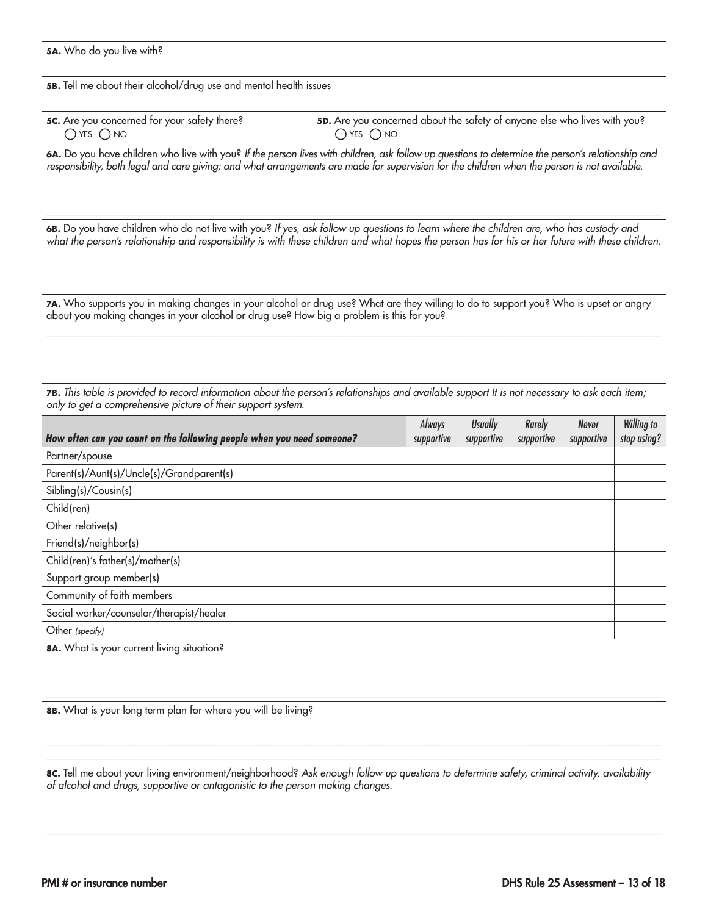| 5A. Who do you live with?                                                                                                                                                                                                                                                                          |  |                      |                              |                             |                            |                                  |
|----------------------------------------------------------------------------------------------------------------------------------------------------------------------------------------------------------------------------------------------------------------------------------------------------|--|----------------------|------------------------------|-----------------------------|----------------------------|----------------------------------|
| 5B. Tell me about their alcohol/drug use and mental health issues                                                                                                                                                                                                                                  |  |                      |                              |                             |                            |                                  |
| 5C. Are you concerned for your safety there?<br>5D. Are you concerned about the safety of anyone else who lives with you?<br>$O$ YES $O$ NO<br>$O$ yes $O$ no                                                                                                                                      |  |                      |                              |                             |                            |                                  |
| 6A. Do you have children who live with you? If the person lives with children, ask follow-up questions to determine the person's relationship and<br>responsibility, both legal and care giving; and what arrangements are made for supervision for the children when the person is not available. |  |                      |                              |                             |                            |                                  |
| 6B. Do you have children who do not live with you? If yes, ask follow up questions to learn where the children are, who has custody and<br>what the person's relationship and responsibility is with these children and what hopes the person has for his or her future with these children.       |  |                      |                              |                             |                            |                                  |
| 7A. Who supports you in making changes in your alcohol or drug use? What are they willing to do to support you? Who is upset or angry<br>about you making changes in your alcohol or drug use? How big a problem is this for you?                                                                  |  |                      |                              |                             |                            |                                  |
| 7B. This table is provided to record information about the person's relationships and available support It is not necessary to ask each item;<br>only to get a comprehensive picture of their support system.                                                                                      |  |                      |                              |                             |                            |                                  |
| How often can you count on the following people when you need someone?                                                                                                                                                                                                                             |  | Always<br>supportive | <b>Usually</b><br>supportive | <b>Rarely</b><br>supportive | <b>Never</b><br>supportive | <b>Willing to</b><br>stop using? |
| Partner/spouse                                                                                                                                                                                                                                                                                     |  |                      |                              |                             |                            |                                  |
| Parent(s)/Aunt(s)/Uncle(s)/Grandparent(s)                                                                                                                                                                                                                                                          |  |                      |                              |                             |                            |                                  |
| Sibling(s)/Cousin(s)                                                                                                                                                                                                                                                                               |  |                      |                              |                             |                            |                                  |
|                                                                                                                                                                                                                                                                                                    |  |                      |                              |                             |                            |                                  |
|                                                                                                                                                                                                                                                                                                    |  |                      |                              |                             |                            |                                  |
| Child(ren)                                                                                                                                                                                                                                                                                         |  |                      |                              |                             |                            |                                  |
| Other relative(s)                                                                                                                                                                                                                                                                                  |  |                      |                              |                             |                            |                                  |
| Friend(s)/neighbor(s)                                                                                                                                                                                                                                                                              |  |                      |                              |                             |                            |                                  |
| Child(ren)'s father(s)/mother(s)                                                                                                                                                                                                                                                                   |  |                      |                              |                             |                            |                                  |
| Support group member(s)                                                                                                                                                                                                                                                                            |  |                      |                              |                             |                            |                                  |
| Community of faith members                                                                                                                                                                                                                                                                         |  |                      |                              |                             |                            |                                  |
| Social worker/counselor/therapist/healer<br>Other (specify)                                                                                                                                                                                                                                        |  |                      |                              |                             |                            |                                  |
| 8A. What is your current living situation?                                                                                                                                                                                                                                                         |  |                      |                              |                             |                            |                                  |
| 8B. What is your long term plan for where you will be living?                                                                                                                                                                                                                                      |  |                      |                              |                             |                            |                                  |
| 8c. Tell me about your living environment/neighborhood? Ask enough follow up questions to determine safety, criminal activity, availability<br>of alcohol and drugs, supportive or antagonistic to the person making changes.                                                                      |  |                      |                              |                             |                            |                                  |
|                                                                                                                                                                                                                                                                                                    |  |                      |                              |                             |                            |                                  |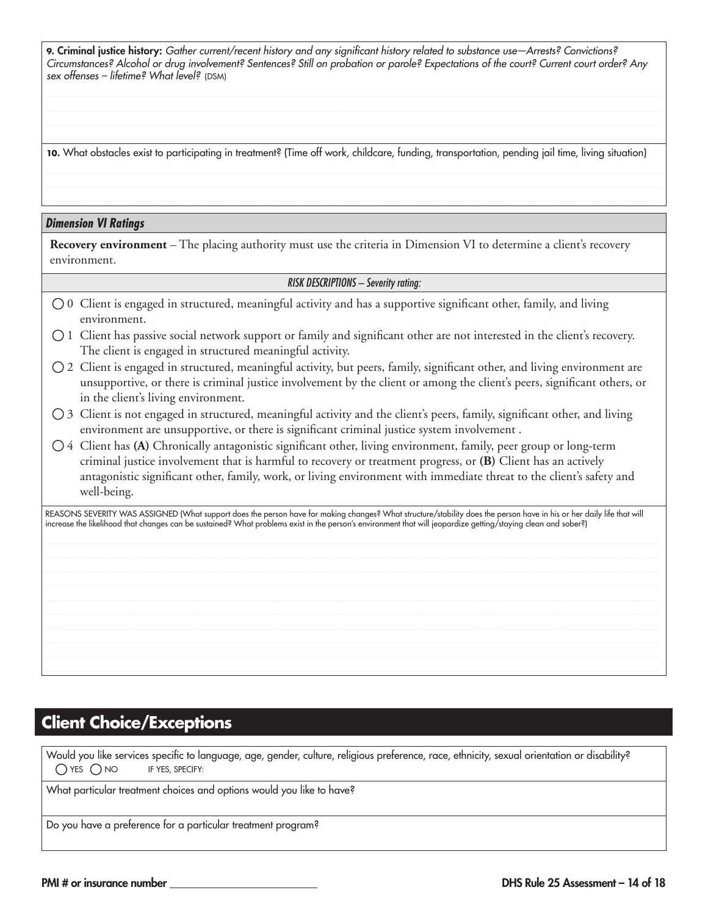**9.** Criminal justice history: *Gather current/recent history and any significant history related to substance use—Arrests? Convictions? Circumstances? Alcohol or drug involvement? Sentences? Still on probation or parole? Expectations of the court? Current court order? Any sex offenses – lifetime? What level?* (DSM)

**10.** What obstacles exist to participating in treatment? (Time off work, childcare, funding, transportation, pending jail time, living situation)

#### *Dimension VI Ratings*

**Recovery environment** – The placing authority must use the criteria in Dimension VI to determine a client's recovery environment.

#### *RISK DESCRIPTIONS – Severity rating:*

- 0 Client is engaged in structured, meaningful activity and has a supportive significant other, family, and living environment.
- 1 Client has passive social network support or family and significant other are not interested in the client's recovery. The client is engaged in structured meaningful activity.
- $\bigcirc$  2 Client is engaged in structured, meaningful activity, but peers, family, significant other, and living environment are unsupportive, or there is criminal justice involvement by the client or among the client's peers, significant others, or in the client's living environment.
- $\bigcirc$  3 Client is not engaged in structured, meaningful activity and the client's peers, family, significant other, and living environment are unsupportive, or there is significant criminal justice system involvement .
- 4 Client has **(A)** Chronically antagonistic significant other, living environment, family, peer group or long-term criminal justice involvement that is harmful to recovery or treatment progress, or **(B)** Client has an actively antagonistic significant other, family, work, or living environment with immediate threat to the client's safety and well-being.

REASONS SEVERITY WAS ASSIGNED (What support does the person have for making changes? What structure/stability does the person have in his or her daily life that will increase the likelihood that changes can be sustained? What problems exist in the person's environment that will jeopardize getting/staying clean and sober?)

### **Client Choice/Exceptions**

Would you like services specific to language, age, gender, culture, religious preference, race, ethnicity, sexual orientation or disability?  $\bigcirc$  YES  $\bigcirc$  NO IF YES, SPECIFY:

What particular treatment choices and options would you like to have?

Do you have a preference for a particular treatment program?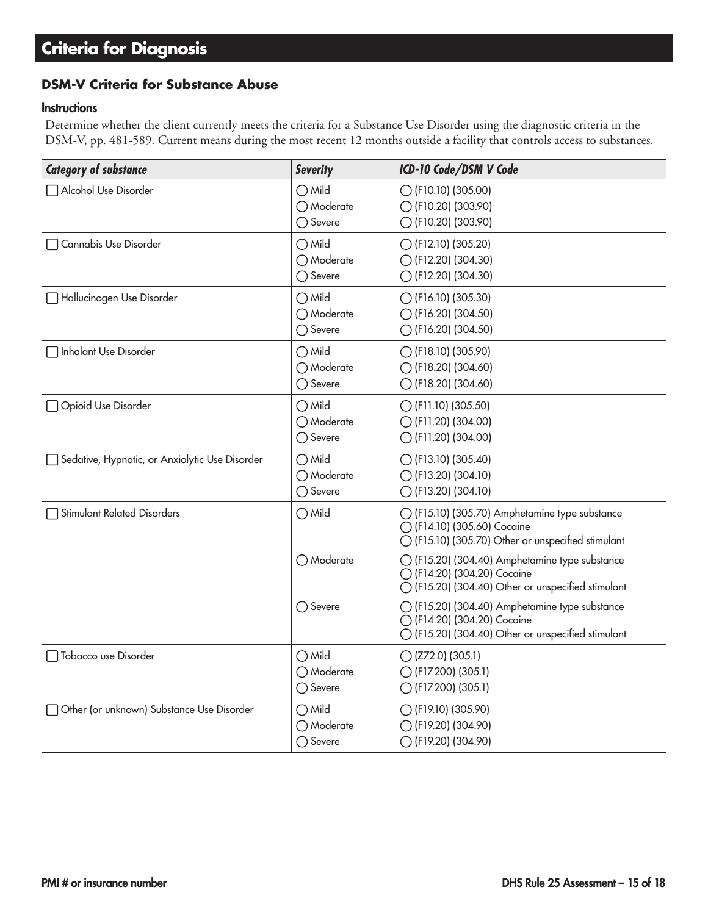### **Criteria for Diagnosis**

### **DSM-V Criteria for Substance Abuse**

#### **Instructions**

Determine whether the client currently meets the criteria for a Substance Use Disorder using the diagnostic criteria in the DSM-V, pp. 481-589. Current means during the most recent 12 months outside a facility that controls access to substances.

| <b>Category of substance</b>                   | <b>Severity</b>                                    | ICD-10 Code/DSM V Code                                                                                                              |
|------------------------------------------------|----------------------------------------------------|-------------------------------------------------------------------------------------------------------------------------------------|
| Alcohol Use Disorder                           | $\bigcirc$ Mild<br>○ Moderate<br>◯ Severe          | $\bigcirc$ (F10.10) (305.00)<br>◯ (F10.20) (303.90)<br>◯ (F10.20) (303.90)                                                          |
| □ Cannabis Use Disorder                        | $\bigcirc$ Mild<br>◯ Moderate<br>$\bigcirc$ Severe | ◯ (F12.10) (305.20)<br>◯ (F12.20) (304.30)<br>◯ (F12.20) (304.30)                                                                   |
| Hallucinogen Use Disorder                      | $\bigcirc$ Mild<br>◯ Moderate<br>◯ Severe          | ◯ (F16.10) (305.30)<br>◯ (F16.20) (304.50)<br>◯ (F16.20) (304.50)                                                                   |
| Inhalant Use Disorder                          | $\bigcirc$ Mild<br>◯ Moderate<br>◯ Severe          | $\bigcirc$ (F18.10) (305.90)<br>◯ (F18.20) (304.60)<br>◯ (F18.20) (304.60)                                                          |
| Opioid Use Disorder                            | $\bigcirc$ Mild<br>◯ Moderate<br>◯ Severe          | $\bigcirc$ (F11.10) (305.50)<br>◯ (F11.20) (304.00)<br>◯ (F11.20) (304.00)                                                          |
| Sedative, Hypnotic, or Anxiolytic Use Disorder | $\bigcirc$ Mild<br>◯ Moderate<br>◯ Severe          | ◯ (F13.10) (305.40)<br>◯ (F13.20) (304.10)<br>◯ (F13.20) (304.10)                                                                   |
| Stimulant Related Disorders                    | $\bigcirc$ Mild                                    | ◯ (F15.10) (305.70) Amphetamine type substance<br>◯ (F14.10) (305.60) Cocaine<br>◯ (F15.10) (305.70) Other or unspecified stimulant |
|                                                | ◯ Moderate                                         | ◯ (F15.20) (304.40) Amphetamine type substance<br>◯ (F14.20) (304.20) Cocaine<br>◯ (F15.20) (304.40) Other or unspecified stimulant |
|                                                | $\bigcirc$ Severe                                  | ◯ (F15.20) (304.40) Amphetamine type substance<br>◯ (F14.20) (304.20) Cocaine<br>◯ (F15.20) (304.40) Other or unspecified stimulant |
| Tobacco use Disorder                           | $\bigcirc$ Mild<br>◯ Moderate<br>◯ Severe          | $O$ (Z72.0) (305.1)<br>◯ (F17.200) (305.1)<br>◯ (F17.200) (305.1)                                                                   |
| Other (or unknown) Substance Use Disorder      | $\bigcirc$ Mild<br>◯ Moderate<br>◯ Severe          | ◯ (F19.10) (305.90)<br>◯ (F19.20) (304.90)<br>◯ (F19.20) (304.90)                                                                   |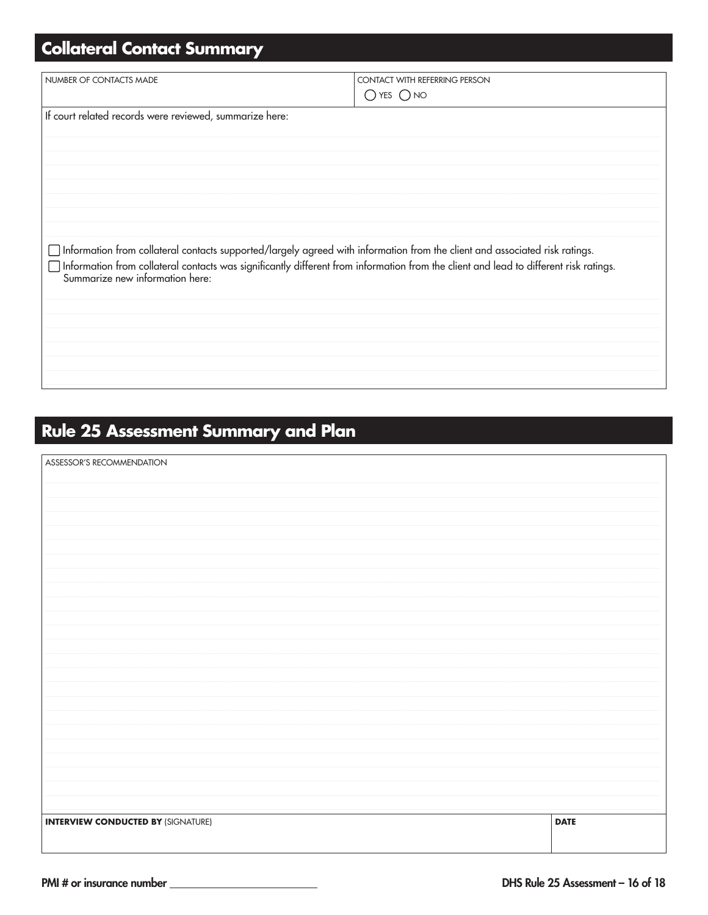# **Collateral Contact Summary**

| NUMBER OF CONTACTS MADE                                 | <b>CONTACT WITH REFERRING PERSON</b>                                                                                                                                                                                                                                        |
|---------------------------------------------------------|-----------------------------------------------------------------------------------------------------------------------------------------------------------------------------------------------------------------------------------------------------------------------------|
|                                                         | $O$ YES $O$ NO                                                                                                                                                                                                                                                              |
| If court related records were reviewed, summarize here: |                                                                                                                                                                                                                                                                             |
|                                                         |                                                                                                                                                                                                                                                                             |
|                                                         |                                                                                                                                                                                                                                                                             |
|                                                         |                                                                                                                                                                                                                                                                             |
|                                                         |                                                                                                                                                                                                                                                                             |
|                                                         |                                                                                                                                                                                                                                                                             |
| Summarize new information here:                         | $\Box$ Information from collateral contacts supported/largely agreed with information from the client and associated risk ratings.<br>Information from collateral contacts was significantly different from information from the client and lead to different risk ratings. |
|                                                         |                                                                                                                                                                                                                                                                             |
|                                                         |                                                                                                                                                                                                                                                                             |
|                                                         |                                                                                                                                                                                                                                                                             |
|                                                         |                                                                                                                                                                                                                                                                             |

### **Rule 25 Assessment Summary and Plan**

| ASSESSOR'S RECOMMENDATION                 |             |
|-------------------------------------------|-------------|
|                                           |             |
|                                           |             |
|                                           |             |
|                                           |             |
|                                           |             |
|                                           |             |
|                                           |             |
|                                           |             |
|                                           |             |
|                                           |             |
|                                           |             |
|                                           |             |
|                                           |             |
|                                           |             |
|                                           |             |
|                                           |             |
|                                           |             |
|                                           |             |
|                                           |             |
|                                           |             |
|                                           |             |
|                                           |             |
|                                           |             |
|                                           |             |
|                                           |             |
| <b>INTERVIEW CONDUCTED BY (SIGNATURE)</b> | <b>DATE</b> |
|                                           |             |
|                                           |             |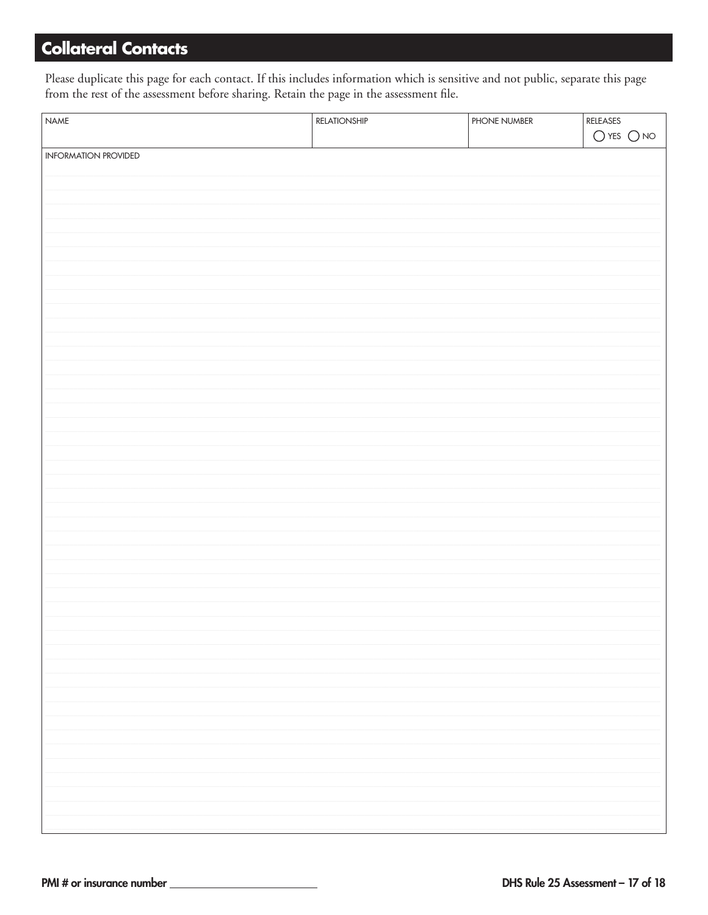### **Collateral Contacts**

Please duplicate this page for each contact. If this includes information which is sensitive and not public, separate this page from the rest of the assessment before sharing. Retain the page in the assessment file.

| NAME                 | RELATIONSHIP | PHONE NUMBER | $\pmb{\mathsf{RELEASES}}$ |
|----------------------|--------------|--------------|---------------------------|
|                      |              |              | $O$ yes $O$ no            |
|                      |              |              |                           |
| INFORMATION PROVIDED |              |              |                           |
|                      |              |              |                           |
|                      |              |              |                           |
|                      |              |              |                           |
|                      |              |              |                           |
|                      |              |              |                           |
|                      |              |              |                           |
|                      |              |              |                           |
|                      |              |              |                           |
|                      |              |              |                           |
|                      |              |              |                           |
|                      |              |              |                           |
|                      |              |              |                           |
|                      |              |              |                           |
|                      |              |              |                           |
|                      |              |              |                           |
|                      |              |              |                           |
|                      |              |              |                           |
|                      |              |              |                           |
|                      |              |              |                           |
|                      |              |              |                           |
|                      |              |              |                           |
|                      |              |              |                           |
|                      |              |              |                           |
|                      |              |              |                           |
|                      |              |              |                           |
|                      |              |              |                           |
|                      |              |              |                           |
|                      |              |              |                           |
|                      |              |              |                           |
|                      |              |              |                           |
|                      |              |              |                           |
|                      |              |              |                           |
|                      |              |              |                           |
|                      |              |              |                           |
|                      |              |              |                           |
|                      |              |              |                           |
|                      |              |              |                           |
|                      |              |              |                           |
|                      |              |              |                           |
|                      |              |              |                           |
|                      |              |              |                           |
|                      |              |              |                           |
|                      |              |              |                           |
|                      |              |              |                           |
|                      |              |              |                           |
|                      |              |              |                           |
|                      |              |              |                           |
|                      |              |              |                           |
|                      |              |              |                           |
|                      |              |              |                           |
|                      |              |              |                           |
|                      |              |              |                           |
|                      |              |              |                           |
|                      |              |              |                           |
|                      |              |              |                           |
|                      |              |              |                           |
|                      |              |              |                           |
|                      |              |              |                           |
|                      |              |              |                           |
|                      |              |              |                           |
|                      |              |              |                           |
|                      |              |              |                           |
|                      |              |              |                           |
|                      |              |              |                           |
|                      |              |              |                           |
|                      |              |              |                           |
|                      |              |              |                           |
|                      |              |              |                           |